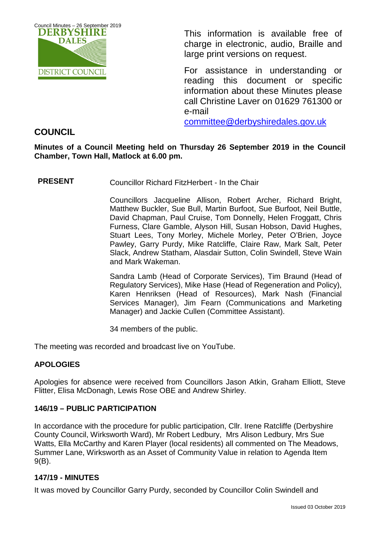

This information is available free of charge in electronic, audio, Braille and large print versions on request.

For assistance in understanding or reading this document or specific information about these Minutes please call Christine Laver on 01629 761300 or e-mail

[committee@derbyshiredales.gov.uk](mailto:brian.evans@derbyshiredales.gov.uk) 

# **COUNCIL**

## **Minutes of a Council Meeting held on Thursday 26 September 2019 in the Council Chamber, Town Hall, Matlock at 6.00 pm.**

**PRESENT** Councillor Richard FitzHerbert - In the Chair

Councillors Jacqueline Allison, Robert Archer, Richard Bright, Matthew Buckler, Sue Bull, Martin Burfoot, Sue Burfoot, Neil Buttle, David Chapman, Paul Cruise, Tom Donnelly, Helen Froggatt, Chris Furness, Clare Gamble, Alyson Hill, Susan Hobson, David Hughes, Stuart Lees, Tony Morley, Michele Morley, Peter O'Brien, Joyce Pawley, Garry Purdy, Mike Ratcliffe, Claire Raw, Mark Salt, Peter Slack, Andrew Statham, Alasdair Sutton, Colin Swindell, Steve Wain and Mark Wakeman.

Sandra Lamb (Head of Corporate Services), Tim Braund (Head of Regulatory Services), Mike Hase (Head of Regeneration and Policy), Karen Henriksen (Head of Resources), Mark Nash (Financial Services Manager), Jim Fearn (Communications and Marketing Manager) and Jackie Cullen (Committee Assistant).

34 members of the public.

The meeting was recorded and broadcast live on YouTube.

# **APOLOGIES**

Apologies for absence were received from Councillors Jason Atkin, Graham Elliott, Steve Flitter, Elisa McDonagh, Lewis Rose OBE and Andrew Shirley.

## **146/19 – PUBLIC PARTICIPATION**

In accordance with the procedure for public participation, Cllr. Irene Ratcliffe (Derbyshire County Council, Wirksworth Ward), Mr Robert Ledbury, Mrs Alison Ledbury, Mrs Sue Watts, Ella McCarthy and Karen Player (local residents) all commented on The Meadows, Summer Lane, Wirksworth as an Asset of Community Value in relation to Agenda Item 9(B).

## **147/19 - MINUTES**

It was moved by Councillor Garry Purdy, seconded by Councillor Colin Swindell and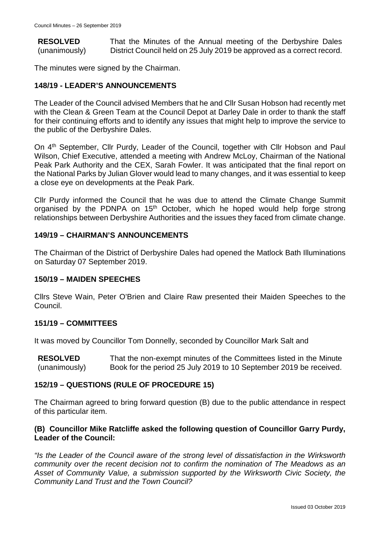**RESOLVED** (unanimously) That the Minutes of the Annual meeting of the Derbyshire Dales District Council held on 25 July 2019 be approved as a correct record.

The minutes were signed by the Chairman.

## **148/19 - LEADER'S ANNOUNCEMENTS**

The Leader of the Council advised Members that he and Cllr Susan Hobson had recently met with the Clean & Green Team at the Council Depot at Darley Dale in order to thank the staff for their continuing efforts and to identify any issues that might help to improve the service to the public of the Derbyshire Dales.

On 4<sup>th</sup> September, Cllr Purdy, Leader of the Council, together with Cllr Hobson and Paul Wilson, Chief Executive, attended a meeting with Andrew McLoy, Chairman of the National Peak Park Authority and the CEX, Sarah Fowler. It was anticipated that the final report on the National Parks by Julian Glover would lead to many changes, and it was essential to keep a close eye on developments at the Peak Park.

Cllr Purdy informed the Council that he was due to attend the Climate Change Summit organised by the PDNPA on 15<sup>th</sup> October, which he hoped would help forge strong relationships between Derbyshire Authorities and the issues they faced from climate change.

## **149/19 – CHAIRMAN'S ANNOUNCEMENTS**

The Chairman of the District of Derbyshire Dales had opened the Matlock Bath Illuminations on Saturday 07 September 2019.

## **150/19 – MAIDEN SPEECHES**

Cllrs Steve Wain, Peter O'Brien and Claire Raw presented their Maiden Speeches to the Council.

## **151/19 – COMMITTEES**

It was moved by Councillor Tom Donnelly, seconded by Councillor Mark Salt and

**RESOLVED** (unanimously) That the non-exempt minutes of the Committees listed in the Minute Book for the period 25 July 2019 to 10 September 2019 be received.

## **152/19 – QUESTIONS (RULE OF PROCEDURE 15)**

The Chairman agreed to bring forward question (B) due to the public attendance in respect of this particular item.

## **(B) Councillor Mike Ratcliffe asked the following question of Councillor Garry Purdy, Leader of the Council:**

*"Is the Leader of the Council aware of the strong level of dissatisfaction in the Wirksworth community over the recent decision not to confirm the nomination of The Meadows as an Asset of Community Value, a submission supported by the Wirksworth Civic Society, the Community Land Trust and the Town Council?*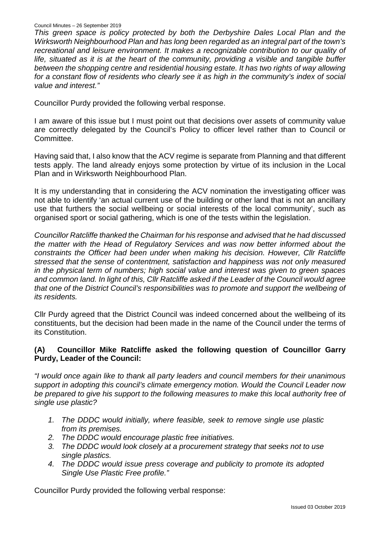#### Council Minutes – 26 September 2019

*This green space is policy protected by both the Derbyshire Dales Local Plan and the Wirksworth Neighbourhood Plan and has long been regarded as an integral part of the town's recreational and leisure environment. It makes a recognizable contribution to our quality of life, situated as it is at the heart of the community, providing a visible and tangible buffer between the shopping centre and residential housing estate. It has two rights of way allowing for a constant flow of residents who clearly see it as high in the community's index of social value and interest."*

Councillor Purdy provided the following verbal response.

I am aware of this issue but I must point out that decisions over assets of community value are correctly delegated by the Council's Policy to officer level rather than to Council or Committee.

Having said that, I also know that the ACV regime is separate from Planning and that different tests apply. The land already enjoys some protection by virtue of its inclusion in the Local Plan and in Wirksworth Neighbourhood Plan.

It is my understanding that in considering the ACV nomination the investigating officer was not able to identify 'an actual current use of the building or other land that is not an ancillary use that furthers the social wellbeing or social interests of the local community', such as organised sport or social gathering, which is one of the tests within the legislation.

*Councillor Ratcliffe thanked the Chairman for his response and advised that he had discussed the matter with the Head of Regulatory Services and was now better informed about the constraints the Officer had been under when making his decision. However, Cllr Ratcliffe stressed that the sense of contentment, satisfaction and happiness was not only measured in the physical term of numbers; high social value and interest was given to green spaces and common land. In light of this, Cllr Ratcliffe asked if the Leader of the Council would agree that one of the District Council's responsibilities was to promote and support the wellbeing of its residents.*

Cllr Purdy agreed that the District Council was indeed concerned about the wellbeing of its constituents, but the decision had been made in the name of the Council under the terms of its Constitution.

## **(A) Councillor Mike Ratcliffe asked the following question of Councillor Garry Purdy, Leader of the Council:**

*"I would once again like to thank all party leaders and council members for their unanimous support in adopting this council's climate emergency motion. Would the Council Leader now be prepared to give his support to the following measures to make this local authority free of single use plastic?*

- *1. The DDDC would initially, where feasible, seek to remove single use plastic from its premises.*
- *2. The DDDC would encourage plastic free initiatives.*
- *3. The DDDC would look closely at a procurement strategy that seeks not to use single plastics.*
- *4. The DDDC would issue press coverage and publicity to promote its adopted Single Use Plastic Free profile."*

Councillor Purdy provided the following verbal response: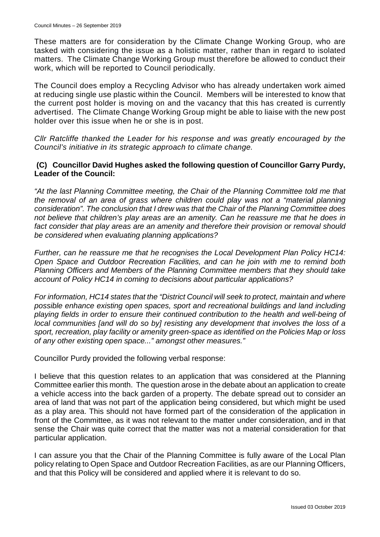These matters are for consideration by the Climate Change Working Group, who are tasked with considering the issue as a holistic matter, rather than in regard to isolated matters. The Climate Change Working Group must therefore be allowed to conduct their work, which will be reported to Council periodically.

The Council does employ a Recycling Advisor who has already undertaken work aimed at reducing single use plastic within the Council. Members will be interested to know that the current post holder is moving on and the vacancy that this has created is currently advertised. The Climate Change Working Group might be able to liaise with the new post holder over this issue when he or she is in post.

*Cllr Ratcliffe thanked the Leader for his response and was greatly encouraged by the Council's initiative in its strategic approach to climate change.* 

### **(C) Councillor David Hughes asked the following question of Councillor Garry Purdy, Leader of the Council:**

*"At the last Planning Committee meeting, the Chair of the Planning Committee told me that the removal of an area of grass where children could play was not a "material planning consideration". The conclusion that I drew was that the Chair of the Planning Committee does not believe that children's play areas are an amenity. Can he reassure me that he does in fact consider that play areas are an amenity and therefore their provision or removal should be considered when evaluating planning applications?*

*Further, can he reassure me that he recognises the Local Development Plan Policy HC14: Open Space and Outdoor Recreation Facilities, and can he join with me to remind both Planning Officers and Members of the Planning Committee members that they should take account of Policy HC14 in coming to decisions about particular applications?*

*For information, HC14 states that the "District Council will seek to protect, maintain and where possible enhance existing open spaces, sport and recreational buildings and land including playing fields in order to ensure their continued contribution to the health and well-being of local communities [and will do so by] resisting any development that involves the loss of a sport, recreation, play facility or amenity green-space as identified on the Policies Map or loss of any other existing open space..." amongst other measures."*

Councillor Purdy provided the following verbal response:

I believe that this question relates to an application that was considered at the Planning Committee earlier this month. The question arose in the debate about an application to create a vehicle access into the back garden of a property. The debate spread out to consider an area of land that was not part of the application being considered, but which might be used as a play area. This should not have formed part of the consideration of the application in front of the Committee, as it was not relevant to the matter under consideration, and in that sense the Chair was quite correct that the matter was not a material consideration for that particular application.

I can assure you that the Chair of the Planning Committee is fully aware of the Local Plan policy relating to Open Space and Outdoor Recreation Facilities, as are our Planning Officers, and that this Policy will be considered and applied where it is relevant to do so.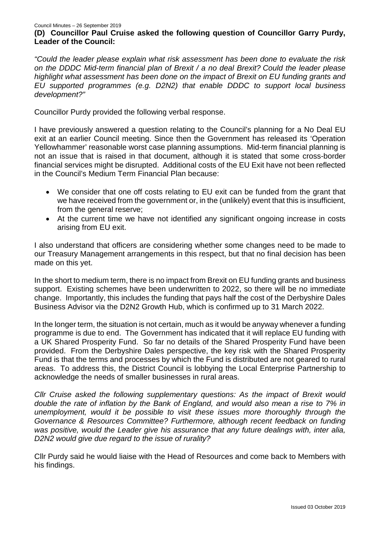#### Council Minutes – 26 September 2019 **(D) Councillor Paul Cruise asked the following question of Councillor Garry Purdy, Leader of the Council:**

*"Could the leader please explain what risk assessment has been done to evaluate the risk on the DDDC Mid-term financial plan of Brexit / a no deal Brexit? Could the leader please highlight what assessment has been done on the impact of Brexit on EU funding grants and EU supported programmes (e.g. D2N2) that enable DDDC to support local business development?"*

Councillor Purdy provided the following verbal response.

I have previously answered a question relating to the Council's planning for a No Deal EU exit at an earlier Council meeting. Since then the Government has released its 'Operation Yellowhammer' reasonable worst case planning assumptions. Mid-term financial planning is not an issue that is raised in that document, although it is stated that some cross-border financial services might be disrupted. Additional costs of the EU Exit have not been reflected in the Council's Medium Term Financial Plan because:

- We consider that one off costs relating to EU exit can be funded from the grant that we have received from the government or, in the (unlikely) event that this is insufficient, from the general reserve;
- At the current time we have not identified any significant ongoing increase in costs arising from EU exit.

I also understand that officers are considering whether some changes need to be made to our Treasury Management arrangements in this respect, but that no final decision has been made on this yet.

In the short to medium term, there is no impact from Brexit on EU funding grants and business support. Existing schemes have been underwritten to 2022, so there will be no immediate change. Importantly, this includes the funding that pays half the cost of the Derbyshire Dales Business Advisor via the D2N2 Growth Hub, which is confirmed up to 31 March 2022.

In the longer term, the situation is not certain, much as it would be anyway whenever a funding programme is due to end. The Government has indicated that it will replace EU funding with a UK Shared Prosperity Fund. So far no details of the Shared Prosperity Fund have been provided. From the Derbyshire Dales perspective, the key risk with the Shared Prosperity Fund is that the terms and processes by which the Fund is distributed are not geared to rural areas. To address this, the District Council is lobbying the Local Enterprise Partnership to acknowledge the needs of smaller businesses in rural areas.

*Cllr Cruise asked the following supplementary questions: As the impact of Brexit would double the rate of inflation by the Bank of England, and would also mean a rise to 7% in unemployment, would it be possible to visit these issues more thoroughly through the Governance & Resources Committee? Furthermore, although recent feedback on funding was positive, would the Leader give his assurance that any future dealings with, inter alia, D2N2 would give due regard to the issue of rurality?*

Cllr Purdy said he would liaise with the Head of Resources and come back to Members with his findings.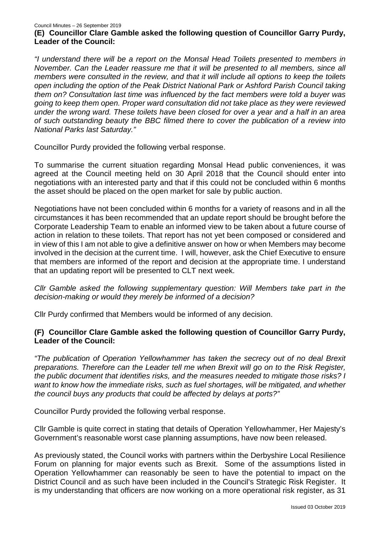#### Council Minutes – 26 September 2019 **(E) Councillor Clare Gamble asked the following question of Councillor Garry Purdy, Leader of the Council:**

*"I understand there will be a report on the Monsal Head Toilets presented to members in November. Can the Leader reassure me that it will be presented to all members, since all members were consulted in the review, and that it will include all options to keep the toilets open including the option of the Peak District National Park or Ashford Parish Council taking them on? Consultation last time was influenced by the fact members were told a buyer was going to keep them open. Proper ward consultation did not take place as they were reviewed under the wrong ward. These toilets have been closed for over a year and a half in an area of such outstanding beauty the BBC filmed there to cover the publication of a review into National Parks last Saturday."*

Councillor Purdy provided the following verbal response.

To summarise the current situation regarding Monsal Head public conveniences, it was agreed at the Council meeting held on 30 April 2018 that the Council should enter into negotiations with an interested party and that if this could not be concluded within 6 months the asset should be placed on the open market for sale by public auction.

Negotiations have not been concluded within 6 months for a variety of reasons and in all the circumstances it has been recommended that an update report should be brought before the Corporate Leadership Team to enable an informed view to be taken about a future course of action in relation to these toilets. That report has not yet been composed or considered and in view of this I am not able to give a definitive answer on how or when Members may become involved in the decision at the current time. I will, however, ask the Chief Executive to ensure that members are informed of the report and decision at the appropriate time. I understand that an updating report will be presented to CLT next week.

*Cllr Gamble asked the following supplementary question: Will Members take part in the decision-making or would they merely be informed of a decision?*

Cllr Purdy confirmed that Members would be informed of any decision.

## **(F) Councillor Clare Gamble asked the following question of Councillor Garry Purdy, Leader of the Council:**

*"The publication of Operation Yellowhammer has taken the secrecy out of no deal Brexit preparations. Therefore can the Leader tell me when Brexit will go on to the Risk Register, the public document that identifies risks, and the measures needed to mitigate those risks? I want to know how the immediate risks, such as fuel shortages, will be mitigated, and whether the council buys any products that could be affected by delays at ports?"*

Councillor Purdy provided the following verbal response.

Cllr Gamble is quite correct in stating that details of Operation Yellowhammer, Her Majesty's Government's reasonable worst case planning assumptions, have now been released.

As previously stated, the Council works with partners within the Derbyshire Local Resilience Forum on planning for major events such as Brexit. Some of the assumptions listed in Operation Yellowhammer can reasonably be seen to have the potential to impact on the District Council and as such have been included in the Council's Strategic Risk Register. It is my understanding that officers are now working on a more operational risk register, as 31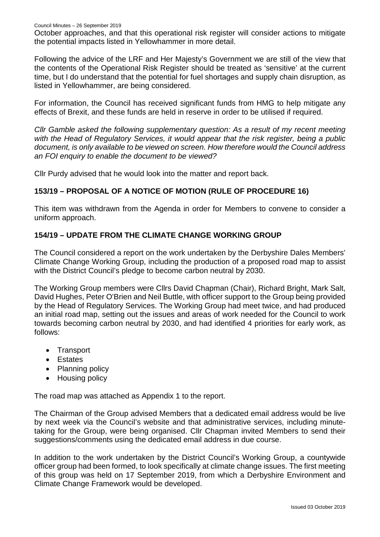October approaches, and that this operational risk register will consider actions to mitigate the potential impacts listed in Yellowhammer in more detail.

Following the advice of the LRF and Her Majesty's Government we are still of the view that the contents of the Operational Risk Register should be treated as 'sensitive' at the current time, but I do understand that the potential for fuel shortages and supply chain disruption, as listed in Yellowhammer, are being considered.

For information, the Council has received significant funds from HMG to help mitigate any effects of Brexit, and these funds are held in reserve in order to be utilised if required.

*Cllr Gamble asked the following supplementary question: As a result of my recent meeting with the Head of Regulatory Services, it would appear that the risk register, being a public document, is only available to be viewed on screen. How therefore would the Council address an FOI enquiry to enable the document to be viewed?*

Cllr Purdy advised that he would look into the matter and report back.

## **153/19 – PROPOSAL OF A NOTICE OF MOTION (RULE OF PROCEDURE 16)**

This item was withdrawn from the Agenda in order for Members to convene to consider a uniform approach.

## **154/19 – UPDATE FROM THE CLIMATE CHANGE WORKING GROUP**

The Council considered a report on the work undertaken by the Derbyshire Dales Members' Climate Change Working Group, including the production of a proposed road map to assist with the District Council's pledge to become carbon neutral by 2030.

The Working Group members were Cllrs David Chapman (Chair), Richard Bright, Mark Salt, David Hughes, Peter O'Brien and Neil Buttle, with officer support to the Group being provided by the Head of Regulatory Services. The Working Group had meet twice, and had produced an initial road map, setting out the issues and areas of work needed for the Council to work towards becoming carbon neutral by 2030, and had identified 4 priorities for early work, as follows:

- Transport
- Estates
- Planning policy
- Housing policy

The road map was attached as Appendix 1 to the report.

The Chairman of the Group advised Members that a dedicated email address would be live by next week via the Council's website and that administrative services, including minutetaking for the Group, were being organised. Cllr Chapman invited Members to send their suggestions/comments using the dedicated email address in due course.

In addition to the work undertaken by the District Council's Working Group, a countywide officer group had been formed, to look specifically at climate change issues. The first meeting of this group was held on 17 September 2019, from which a Derbyshire Environment and Climate Change Framework would be developed.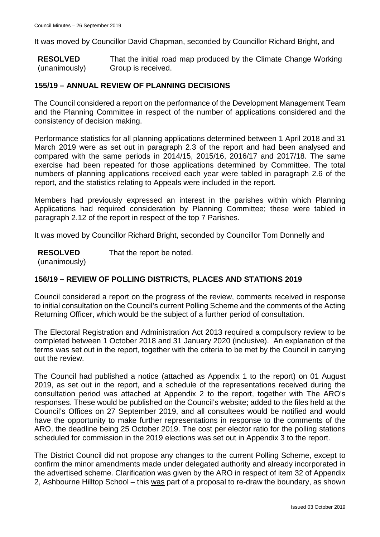It was moved by Councillor David Chapman, seconded by Councillor Richard Bright, and

**RESOLVED** (unanimously) That the initial road map produced by the Climate Change Working Group is received.

### **155/19 – ANNUAL REVIEW OF PLANNING DECISIONS**

The Council considered a report on the performance of the Development Management Team and the Planning Committee in respect of the number of applications considered and the consistency of decision making.

Performance statistics for all planning applications determined between 1 April 2018 and 31 March 2019 were as set out in paragraph 2.3 of the report and had been analysed and compared with the same periods in 2014/15, 2015/16, 2016/17 and 2017/18. The same exercise had been repeated for those applications determined by Committee. The total numbers of planning applications received each year were tabled in paragraph 2.6 of the report, and the statistics relating to Appeals were included in the report.

Members had previously expressed an interest in the parishes within which Planning Applications had required consideration by Planning Committee; these were tabled in paragraph 2.12 of the report in respect of the top 7 Parishes.

It was moved by Councillor Richard Bright, seconded by Councillor Tom Donnelly and

**RESOLVED** That the report be noted.

(unanimously)

## **156/19 – REVIEW OF POLLING DISTRICTS, PLACES AND STATIONS 2019**

Council considered a report on the progress of the review, comments received in response to initial consultation on the Council's current Polling Scheme and the comments of the Acting Returning Officer, which would be the subject of a further period of consultation.

The Electoral Registration and Administration Act 2013 required a compulsory review to be completed between 1 October 2018 and 31 January 2020 (inclusive). An explanation of the terms was set out in the report, together with the criteria to be met by the Council in carrying out the review.

The Council had published a notice (attached as Appendix 1 to the report) on 01 August 2019, as set out in the report, and a schedule of the representations received during the consultation period was attached at Appendix 2 to the report, together with The ARO's responses. These would be published on the Council's website; added to the files held at the Council's Offices on 27 September 2019, and all consultees would be notified and would have the opportunity to make further representations in response to the comments of the ARO, the deadline being 25 October 2019. The cost per elector ratio for the polling stations scheduled for commission in the 2019 elections was set out in Appendix 3 to the report.

The District Council did not propose any changes to the current Polling Scheme, except to confirm the minor amendments made under delegated authority and already incorporated in the advertised scheme. Clarification was given by the ARO in respect of item 32 of Appendix 2, Ashbourne Hilltop School – this was part of a proposal to re-draw the boundary, as shown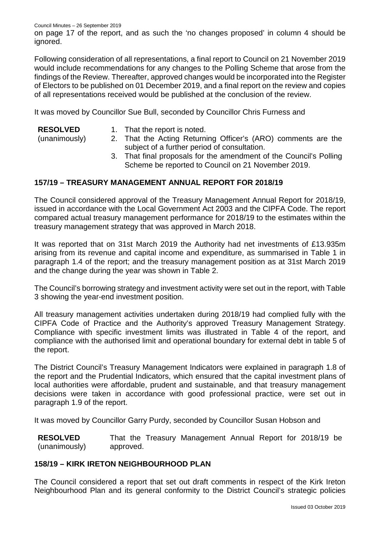on page 17 of the report, and as such the 'no changes proposed' in column 4 should be ignored.

Following consideration of all representations, a final report to Council on 21 November 2019 would include recommendations for any changes to the Polling Scheme that arose from the findings of the Review. Thereafter, approved changes would be incorporated into the Register of Electors to be published on 01 December 2019, and a final report on the review and copies of all representations received would be published at the conclusion of the review.

It was moved by Councillor Sue Bull, seconded by Councillor Chris Furness and

(unanimously)

- 1. That the report is noted.
- 2. That the Acting Returning Officer's (ARO) comments are the subject of a further period of consultation.
	- 3. That final proposals for the amendment of the Council's Polling Scheme be reported to Council on 21 November 2019.

## **157/19 – TREASURY MANAGEMENT ANNUAL REPORT FOR 2018/19**

The Council considered approval of the Treasury Management Annual Report for 2018/19, issued in accordance with the Local Government Act 2003 and the CIPFA Code. The report compared actual treasury management performance for 2018/19 to the estimates within the treasury management strategy that was approved in March 2018.

It was reported that on 31st March 2019 the Authority had net investments of £13.935m arising from its revenue and capital income and expenditure, as summarised in Table 1 in paragraph 1.4 of the report; and the treasury management position as at 31st March 2019 and the change during the year was shown in Table 2.

The Council's borrowing strategy and investment activity were set out in the report, with Table 3 showing the year-end investment position.

All treasury management activities undertaken during 2018/19 had complied fully with the CIPFA Code of Practice and the Authority's approved Treasury Management Strategy. Compliance with specific investment limits was illustrated in Table 4 of the report, and compliance with the authorised limit and operational boundary for external debt in table 5 of the report.

The District Council's Treasury Management Indicators were explained in paragraph 1.8 of the report and the Prudential Indicators, which ensured that the capital investment plans of local authorities were affordable, prudent and sustainable, and that treasury management decisions were taken in accordance with good professional practice, were set out in paragraph 1.9 of the report.

It was moved by Councillor Garry Purdy, seconded by Councillor Susan Hobson and

**RESOLVED** (unanimously) That the Treasury Management Annual Report for 2018/19 be approved.

## **158/19 – KIRK IRETON NEIGHBOURHOOD PLAN**

The Council considered a report that set out draft comments in respect of the Kirk Ireton Neighbourhood Plan and its general conformity to the District Council's strategic policies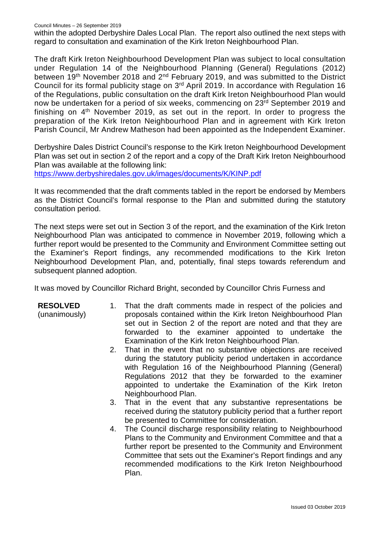within the adopted Derbyshire Dales Local Plan. The report also outlined the next steps with regard to consultation and examination of the Kirk Ireton Neighbourhood Plan.

The draft Kirk Ireton Neighbourhood Development Plan was subject to local consultation under Regulation 14 of the Neighbourhood Planning (General) Regulations (2012) between 19<sup>th</sup> November 2018 and 2<sup>nd</sup> February 2019, and was submitted to the District Council for its formal publicity stage on 3rd April 2019. In accordance with Regulation 16 of the Regulations, public consultation on the draft Kirk Ireton Neighbourhood Plan would now be undertaken for a period of six weeks, commencing on 23rd September 2019 and finishing on  $4<sup>th</sup>$  November 2019, as set out in the report. In order to progress the preparation of the Kirk Ireton Neighbourhood Plan and in agreement with Kirk Ireton Parish Council, Mr Andrew Matheson had been appointed as the Independent Examiner.

Derbyshire Dales District Council's response to the Kirk Ireton Neighbourhood Development Plan was set out in section 2 of the report and a copy of the Draft Kirk Ireton Neighbourhood Plan was available at the following link:

<https://www.derbyshiredales.gov.uk/images/documents/K/KINP.pdf>

It was recommended that the draft comments tabled in the report be endorsed by Members as the District Council's formal response to the Plan and submitted during the statutory consultation period.

The next steps were set out in Section 3 of the report, and the examination of the Kirk Ireton Neighbourhood Plan was anticipated to commence in November 2019, following which a further report would be presented to the Community and Environment Committee setting out the Examiner's Report findings, any recommended modifications to the Kirk Ireton Neighbourhood Development Plan, and, potentially, final steps towards referendum and subsequent planned adoption.

It was moved by Councillor Richard Bright, seconded by Councillor Chris Furness and

**RESOLVED**

(unanimously)

- 1. That the draft comments made in respect of the policies and proposals contained within the Kirk Ireton Neighbourhood Plan set out in Section 2 of the report are noted and that they are forwarded to the examiner appointed to undertake the Examination of the Kirk Ireton Neighbourhood Plan.
- 2. That in the event that no substantive objections are received during the statutory publicity period undertaken in accordance with Regulation 16 of the Neighbourhood Planning (General) Regulations 2012 that they be forwarded to the examiner appointed to undertake the Examination of the Kirk Ireton Neighbourhood Plan.
- 3. That in the event that any substantive representations be received during the statutory publicity period that a further report be presented to Committee for consideration.
- 4. The Council discharge responsibility relating to Neighbourhood Plans to the Community and Environment Committee and that a further report be presented to the Community and Environment Committee that sets out the Examiner's Report findings and any recommended modifications to the Kirk Ireton Neighbourhood Plan.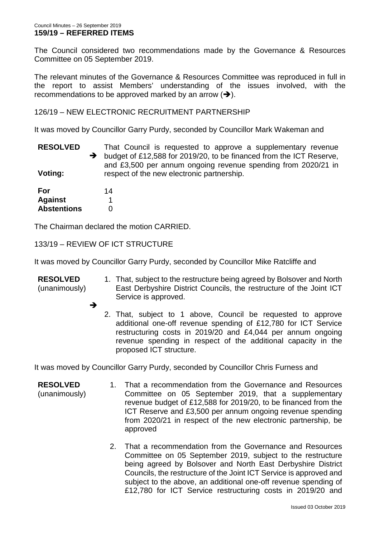The Council considered two recommendations made by the Governance & Resources Committee on 05 September 2019.

The relevant minutes of the Governance & Resources Committee was reproduced in full in the report to assist Members' understanding of the issues involved, with the recommendations to be approved marked by an arrow  $(\rightarrow)$ .

126/19 – NEW ELECTRONIC RECRUITMENT PARTNERSHIP

It was moved by Councillor Garry Purdy, seconded by Councillor Mark Wakeman and

**RESOLVED**  $\rightarrow$ **Voting:** That Council is requested to approve a supplementary revenue budget of £12,588 for 2019/20, to be financed from the ICT Reserve, and £3,500 per annum ongoing revenue spending from 2020/21 in respect of the new electronic partnership.

| For                | 14 |
|--------------------|----|
| <b>Against</b>     |    |
| <b>Abstentions</b> | O  |

The Chairman declared the motion CARRIED.

133/19 – REVIEW OF ICT STRUCTURE

It was moved by Councillor Garry Purdy, seconded by Councillor Mike Ratcliffe and

**RESOLVED** (unanimously) 1. That, subject to the restructure being agreed by Bolsover and North East Derbyshire District Councils, the restructure of the Joint ICT Service is approved.

- →
	- 2. That, subject to 1 above, Council be requested to approve additional one-off revenue spending of £12,780 for ICT Service restructuring costs in 2019/20 and £4,044 per annum ongoing revenue spending in respect of the additional capacity in the proposed ICT structure.

It was moved by Councillor Garry Purdy, seconded by Councillor Chris Furness and

- **RESOLVED** (unanimously) 1. That a recommendation from the Governance and Resources Committee on 05 September 2019, that a supplementary revenue budget of £12,588 for 2019/20, to be financed from the ICT Reserve and £3,500 per annum ongoing revenue spending from 2020/21 in respect of the new electronic partnership, be approved
	- 2. That a recommendation from the Governance and Resources Committee on 05 September 2019, subject to the restructure being agreed by Bolsover and North East Derbyshire District Councils, the restructure of the Joint ICT Service is approved and subject to the above, an additional one-off revenue spending of £12,780 for ICT Service restructuring costs in 2019/20 and